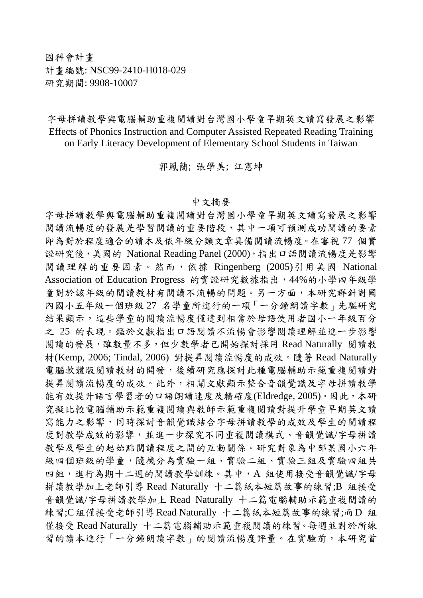國科會計畫 計畫編號: NSC99-2410-H018-029 研究期間: 9908-10007

字母拼讀教學與電腦輔助重複閱讀對台灣國小學童早期英文讀寫發展之影響 Effects of Phonics Instruction and Computer Assisted Repeated Reading Training on Early Literacy Development of Elementary School Students in Taiwan

郭鳳蘭; 張學美; 江憲坤

## 中文摘要

字母拼讀教學與電腦輔助重複閱讀對台灣國小學童早期英文讀寫發展之影響 閱讀流暢度的發展是學習閱讀的重要階段,其中一項可預測成功閱讀的要素 即為對於程度適合的讀本及依年級分類文章具備閱讀流暢度。在審視 77 個實 證研究後, 美國的 National Reading Panel (2000), 指出口語閱讀流暢度是影響 閱讀理解的重要因素。然而,依據 Ringenberg (2005)引用美國 National Association of Education Progress 的實證研究數據指出,44%的小學四年級學 童對於該年級的閱讀教材有閱讀不流暢的問題。另一方面,本研究群針對國 內國小五年級一個班級 27 名學童所進行的一項「一分鐘朗讀字數」先驅研究 結果顯示,這些學童的閱讀流暢度僅達到相當於母語使用者國小一年級百分 之 25 的表現。鑑於文獻指出口語閱讀不流暢會影響閱讀理解並進一步影響 閱讀的發展,雖數量不多,但少數學者已開始探討採用 Read Naturally 閱讀教 材(Kemp, 2006; Tindal, 2006) 對提昇閱讀流暢度的成效。隨著 Read Naturally 電腦軟體版閱讀教材的開發,後續研究應探討此種電腦輔助示範重複閱讀對 提昇閱讀流暢度的成效。此外,相關文獻顯示整合音韻覺識及字母拼讀教學 能有效提升語言學習者的口語朗讀速度及精確度(Eldredge, 2005)。因此,本研 究擬比較電腦輔助示範重複閱讀和示範重複閱讀對提升學童早期英文讀 寫能力之影響,同時探討音韻覺識結合字母拼讀教學的成效及學生的閱讀程 度對教學成效的影響,並進一步探究不同重複閱讀模式、音韻覺識/字母拼讀 教學及學生的起始點閱讀程度之間的互動關係。研究對象為中部某國小六年 級四個班級的學童,隨機分為實驗一組、實驗二組、實驗三組及實驗四組共 四組,進行為期十二週的閱讀教學訓練。其中,A 組使用接受音韻覺識/字母 拼讀教學加上老師引導 Read Naturally 十二篇紙本短篇故事的練習;B 組接受 音韻覺識/字母拼讀教學加上 Read Naturally 十二篇電腦輔助示範重複閱讀的 練習;C組僅接受老師引導Read Naturally 十二篇紙本短篇故事的練習;而D 組 僅接受 Read Naturally 十二篇電腦輔助示範重複閱讀的練習。每週並對於所練 習的讀本進行「一分鐘朗讀字數」的閱讀流暢度評量。在實驗前,本研究首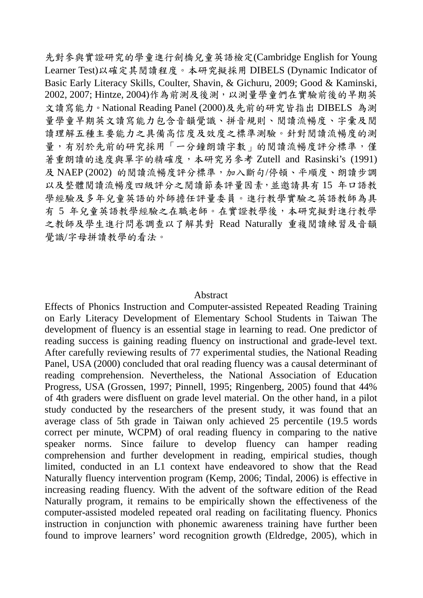先對參與實證研究的學童進行劍橋兒童英語檢定(Cambridge English for Young Learner Test)以確定其閱讀程度。本研究擬採用 DIBELS (Dynamic Indicator of Basic Early Literacy Skills, Coulter, Shavin, & Gichuru, 2009; Good & Kaminski, 2002, 2007; Hintze, 2004)作為前測及後測,以測量學童們在實驗前後的早期英 文讀寫能力。National Reading Panel (2000)及先前的研究皆指出 DIBELS 為測 量學童早期英文讀寫能力包含音韻覺識、拼音規則、閱讀流暢度、字彙及閱 讀理解五種主要能力之具備高信度及效度之標準測驗。針對閱讀流暢度的測 量,有別於先前的研究採用「一分鐘朗讀字數」的閱讀流暢度評分標準,僅 著重朗讀的速度與單字的精確度,本研究另參考 Zutell and Rasinski's (1991) 及 NAEP (2002) 的閱讀流暢度評分標準,加入斷句/停頓、平順度、朗讀步調 以及整體閱讀流暢度四級評分之閱讀節奏評量因素,並邀請具有 15 年口語教 學經驗及多年兒童英語的外師擔任評量委員。進行教學實驗之英語教師為具 有 5 年兒童英語教學經驗之在職老師。在實證教學後,本研究擬對進行教學 之教師及學生進行問卷調查以了解其對 Read Naturally 重複閱讀練習及音韻 覺識/字母拼讀教學的看法。

## Abstract

Effects of Phonics Instruction and Computer-assisted Repeated Reading Training on Early Literacy Development of Elementary School Students in Taiwan The development of fluency is an essential stage in learning to read. One predictor of reading success is gaining reading fluency on instructional and grade-level text. After carefully reviewing results of 77 experimental studies, the National Reading Panel, USA (2000) concluded that oral reading fluency was a causal determinant of reading comprehension. Nevertheless, the National Association of Education Progress, USA (Grossen, 1997; Pinnell, 1995; Ringenberg, 2005) found that 44% of 4th graders were disfluent on grade level material. On the other hand, in a pilot study conducted by the researchers of the present study, it was found that an average class of 5th grade in Taiwan only achieved 25 percentile (19.5 words correct per minute, WCPM) of oral reading fluency in comparing to the native speaker norms. Since failure to develop fluency can hamper reading comprehension and further development in reading, empirical studies, though limited, conducted in an L1 context have endeavored to show that the Read Naturally fluency intervention program (Kemp, 2006; Tindal, 2006) is effective in increasing reading fluency. With the advent of the software edition of the Read Naturally program, it remains to be empirically shown the effectiveness of the computer-assisted modeled repeated oral reading on facilitating fluency. Phonics instruction in conjunction with phonemic awareness training have further been found to improve learners' word recognition growth (Eldredge, 2005), which in